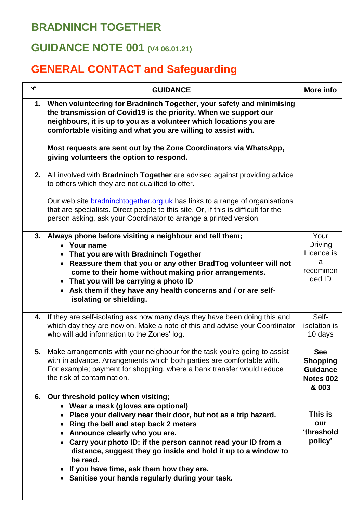## **BRADNINCH TOGETHER**

## **GUIDANCE NOTE 001 (V4 06.01.21)**

## **GENERAL CONTACT and Safeguarding**

| $N^{\circ}$ | <b>GUIDANCE</b>                                                                                                                                                                                                                                                                                                                                                                                                                                                                                 | More info                                                              |
|-------------|-------------------------------------------------------------------------------------------------------------------------------------------------------------------------------------------------------------------------------------------------------------------------------------------------------------------------------------------------------------------------------------------------------------------------------------------------------------------------------------------------|------------------------------------------------------------------------|
| 1.          | When volunteering for Bradninch Together, your safety and minimising<br>the transmission of Covid19 is the priority. When we support our<br>neighbours, it is up to you as a volunteer which locations you are<br>comfortable visiting and what you are willing to assist with.                                                                                                                                                                                                                 |                                                                        |
|             | Most requests are sent out by the Zone Coordinators via WhatsApp,<br>giving volunteers the option to respond.                                                                                                                                                                                                                                                                                                                                                                                   |                                                                        |
| 2.          | All involved with <b>Bradninch Together</b> are advised against providing advice<br>to others which they are not qualified to offer.                                                                                                                                                                                                                                                                                                                                                            |                                                                        |
|             | Our web site <b>bradninchtogether.org.uk</b> has links to a range of organisations<br>that are specialists. Direct people to this site. Or, if this is difficult for the<br>person asking, ask your Coordinator to arrange a printed version.                                                                                                                                                                                                                                                   |                                                                        |
| 3.          | Always phone before visiting a neighbour and tell them;<br>• Your name<br>• That you are with Bradninch Together<br>• Reassure them that you or any other BradTog volunteer will not<br>come to their home without making prior arrangements.<br>• That you will be carrying a photo ID<br>• Ask them if they have any health concerns and / or are self-<br>isolating or shielding.                                                                                                            | Your<br><b>Driving</b><br>Licence is<br>a<br>recommen<br>ded ID        |
| 4.          | If they are self-isolating ask how many days they have been doing this and<br>which day they are now on. Make a note of this and advise your Coordinator<br>who will add information to the Zones' log.                                                                                                                                                                                                                                                                                         | Self-<br>isolation is<br>10 days                                       |
| 5.          | Make arrangements with your neighbour for the task you're going to assist<br>with in advance. Arrangements which both parties are comfortable with.<br>For example; payment for shopping, where a bank transfer would reduce<br>the risk of contamination.                                                                                                                                                                                                                                      | <b>See</b><br><b>Shopping</b><br><b>Guidance</b><br>Notes 002<br>& 003 |
| 6.          | Our threshold policy when visiting;<br>• Wear a mask (gloves are optional)<br>Place your delivery near their door, but not as a trip hazard.<br>Ring the bell and step back 2 meters<br>Announce clearly who you are.<br>$\bullet$<br>Carry your photo ID; if the person cannot read your ID from a<br>distance, suggest they go inside and hold it up to a window to<br>be read.<br>If you have time, ask them how they are.<br>$\bullet$<br>• Sanitise your hands regularly during your task. | This is<br>our<br>'threshold<br>policy'                                |